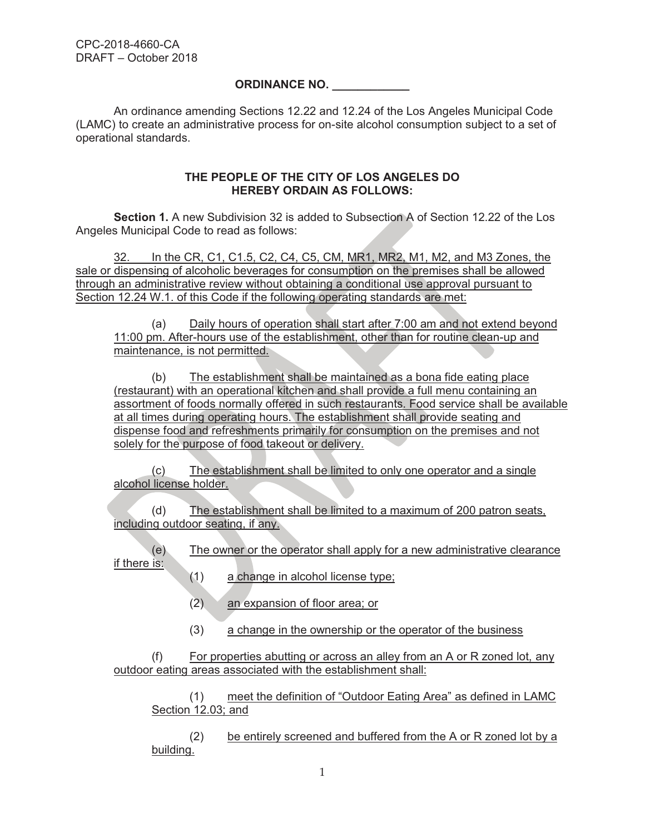## **ORDINANCE NO. \_\_\_\_\_\_\_\_\_\_\_\_**

An ordinance amending Sections 12.22 and 12.24 of the Los Angeles Municipal Code (LAMC) to create an administrative process for on-site alcohol consumption subject to a set of operational standards.

## **THE PEOPLE OF THE CITY OF LOS ANGELES DO HEREBY ORDAIN AS FOLLOWS:**

**Section 1.** A new Subdivision 32 is added to Subsection A of Section 12.22 of the Los Angeles Municipal Code to read as follows:

 32. In the CR, C1, C1.5, C2, C4, C5, CM, MR1, MR2, M1, M2, and M3 Zones, the sale or dispensing of alcoholic beverages for consumption on the premises shall be allowed through an administrative review without obtaining a conditional use approval pursuant to Section 12.24 W.1. of this Code if the following operating standards are met:

(a) Daily hours of operation shall start after 7:00 am and not extend beyond 11:00 pm. After-hours use of the establishment, other than for routine clean-up and maintenance, is not permitted.

(b) The establishment shall be maintained as a bona fide eating place (restaurant) with an operational kitchen and shall provide a full menu containing an assortment of foods normally offered in such restaurants. Food service shall be available at all times during operating hours. The establishment shall provide seating and dispense food and refreshments primarily for consumption on the premises and not solely for the purpose of food takeout or delivery.

(c) The establishment shall be limited to only one operator and a single alcohol license holder.

(d) The establishment shall be limited to a maximum of 200 patron seats, including outdoor seating, if any.

(e) The owner or the operator shall apply for a new administrative clearance if there is:

- (1) a change in alcohol license type;
- (2) an expansion of floor area; or
- (3) a change in the ownership or the operator of the business

(f) For properties abutting or across an alley from an A or R zoned lot, any outdoor eating areas associated with the establishment shall:

(1) meet the definition of "Outdoor Eating Area" as defined in LAMC Section 12.03; and

(2) be entirely screened and buffered from the A or R zoned lot by a building.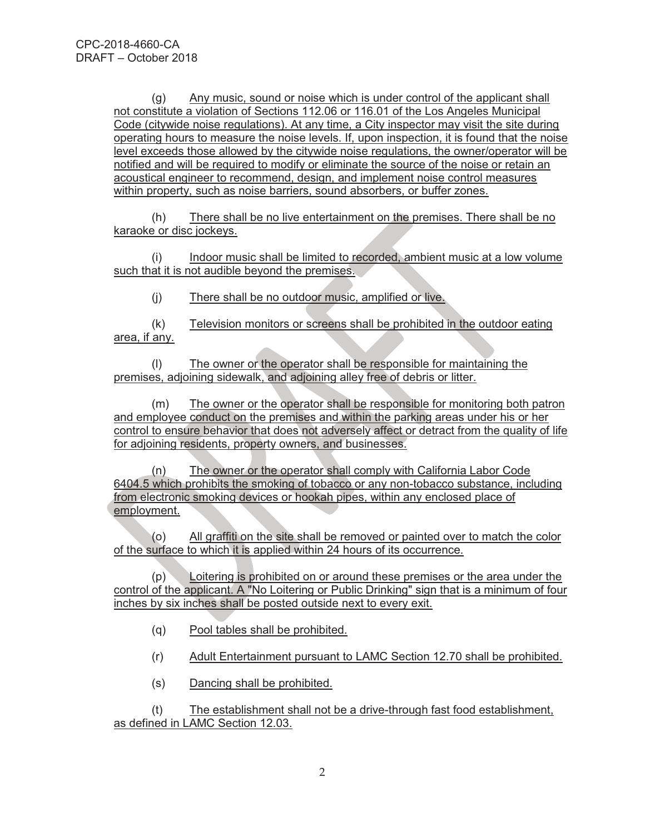(g) Any music, sound or noise which is under control of the applicant shall not constitute a violation of Sections 112.06 or 116.01 of the Los Angeles Municipal Code (citywide noise regulations). At any time, a City inspector may visit the site during operating hours to measure the noise levels. If, upon inspection, it is found that the noise level exceeds those allowed by the citywide noise regulations, the owner/operator will be notified and will be required to modify or eliminate the source of the noise or retain an acoustical engineer to recommend, design, and implement noise control measures within property, such as noise barriers, sound absorbers, or buffer zones.

(h) There shall be no live entertainment on the premises. There shall be no karaoke or disc jockeys.

(i) Indoor music shall be limited to recorded, ambient music at a low volume such that it is not audible beyond the premises.

(j) There shall be no outdoor music, amplified or live.

(k) Television monitors or screens shall be prohibited in the outdoor eating area, if any.

(l) The owner or the operator shall be responsible for maintaining the premises, adjoining sidewalk, and adjoining alley free of debris or litter.

(m) The owner or the operator shall be responsible for monitoring both patron and employee conduct on the premises and within the parking areas under his or her control to ensure behavior that does not adversely affect or detract from the quality of life for adjoining residents, property owners, and businesses.

(n) The owner or the operator shall comply with California Labor Code 6404.5 which prohibits the smoking of tobacco or any non-tobacco substance, including from electronic smoking devices or hookah pipes, within any enclosed place of employment.

(o) All graffiti on the site shall be removed or painted over to match the color of the surface to which it is applied within 24 hours of its occurrence.

(p) Loitering is prohibited on or around these premises or the area under the control of the applicant. A "No Loitering or Public Drinking" sign that is a minimum of four inches by six inches shall be posted outside next to every exit.

- (q) Pool tables shall be prohibited.
- (r) Adult Entertainment pursuant to LAMC Section 12.70 shall be prohibited.
- (s) Dancing shall be prohibited.

(t) The establishment shall not be a drive-through fast food establishment, as defined in LAMC Section 12.03.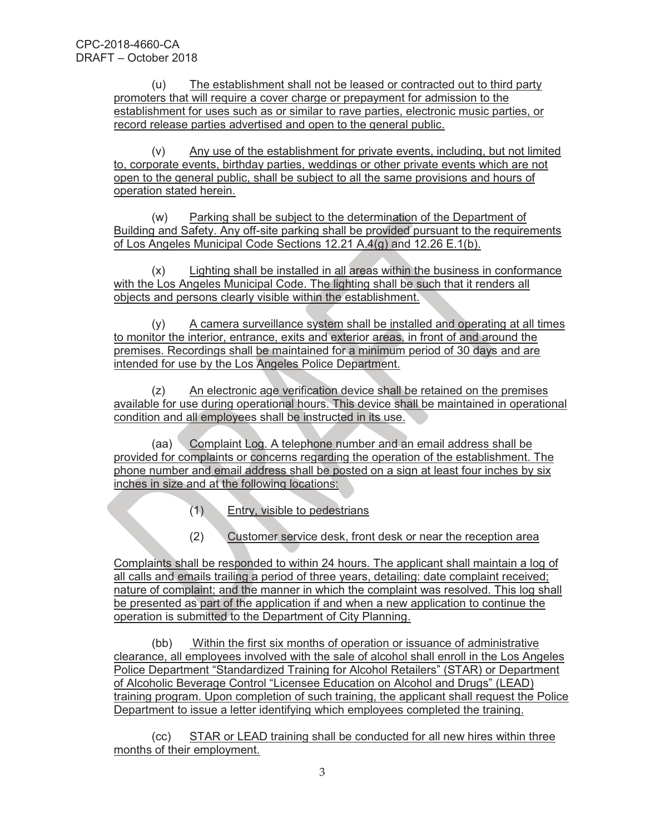(u) The establishment shall not be leased or contracted out to third party promoters that will require a cover charge or prepayment for admission to the establishment for uses such as or similar to rave parties, electronic music parties, or record release parties advertised and open to the general public.

(v) Any use of the establishment for private events, including, but not limited to, corporate events, birthday parties, weddings or other private events which are not open to the general public, shall be subject to all the same provisions and hours of operation stated herein.

(w) Parking shall be subject to the determination of the Department of Building and Safety. Any off-site parking shall be provided pursuant to the requirements of Los Angeles Municipal Code Sections 12.21 A.4(g) and 12.26 E.1(b).

(x) Lighting shall be installed in all areas within the business in conformance with the Los Angeles Municipal Code. The lighting shall be such that it renders all objects and persons clearly visible within the establishment.

(y) A camera surveillance system shall be installed and operating at all times to monitor the interior, entrance, exits and exterior areas, in front of and around the premises. Recordings shall be maintained for a minimum period of 30 days and are intended for use by the Los Angeles Police Department.

(z) An electronic age verification device shall be retained on the premises available for use during operational hours. This device shall be maintained in operational condition and all employees shall be instructed in its use.

(aa) Complaint Log. A telephone number and an email address shall be provided for complaints or concerns regarding the operation of the establishment. The phone number and email address shall be posted on a sign at least four inches by six inches in size and at the following locations:

- (1) Entry, visible to pedestrians
- (2) Customer service desk, front desk or near the reception area

Complaints shall be responded to within 24 hours. The applicant shall maintain a log of all calls and emails trailing a period of three years, detailing: date complaint received; nature of complaint; and the manner in which the complaint was resolved. This log shall be presented as part of the application if and when a new application to continue the operation is submitted to the Department of City Planning.

(bb) Within the first six months of operation or issuance of administrative clearance, all employees involved with the sale of alcohol shall enroll in the Los Angeles Police Department "Standardized Training for Alcohol Retailers" (STAR) or Department of Alcoholic Beverage Control "Licensee Education on Alcohol and Drugs" (LEAD) training program. Upon completion of such training, the applicant shall request the Police Department to issue a letter identifying which employees completed the training.

(cc) STAR or LEAD training shall be conducted for all new hires within three months of their employment.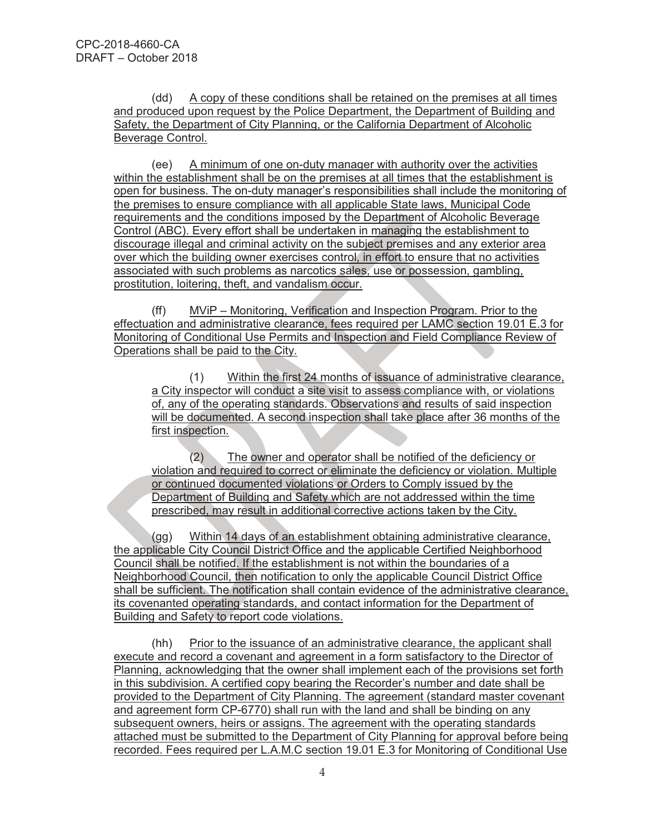(dd) A copy of these conditions shall be retained on the premises at all times and produced upon request by the Police Department, the Department of Building and Safety, the Department of City Planning, or the California Department of Alcoholic Beverage Control.

(ee) A minimum of one on-duty manager with authority over the activities within the establishment shall be on the premises at all times that the establishment is open for business. The on-duty manager's responsibilities shall include the monitoring of the premises to ensure compliance with all applicable State laws, Municipal Code requirements and the conditions imposed by the Department of Alcoholic Beverage Control (ABC). Every effort shall be undertaken in managing the establishment to discourage illegal and criminal activity on the subject premises and any exterior area over which the building owner exercises control, in effort to ensure that no activities associated with such problems as narcotics sales, use or possession, gambling, prostitution, loitering, theft, and vandalism occur.

(ff) MViP – Monitoring, Verification and Inspection Program. Prior to the effectuation and administrative clearance, fees required per LAMC section 19.01 E.3 for Monitoring of Conditional Use Permits and Inspection and Field Compliance Review of Operations shall be paid to the City.

(1) Within the first 24 months of issuance of administrative clearance, a City inspector will conduct a site visit to assess compliance with, or violations of, any of the operating standards. Observations and results of said inspection will be documented. A second inspection shall take place after 36 months of the first inspection.

(2) The owner and operator shall be notified of the deficiency or violation and required to correct or eliminate the deficiency or violation. Multiple or continued documented violations or Orders to Comply issued by the Department of Building and Safety which are not addressed within the time prescribed, may result in additional corrective actions taken by the City.

(gg) Within 14 days of an establishment obtaining administrative clearance, the applicable City Council District Office and the applicable Certified Neighborhood Council shall be notified. If the establishment is not within the boundaries of a Neighborhood Council, then notification to only the applicable Council District Office shall be sufficient. The notification shall contain evidence of the administrative clearance, its covenanted operating standards, and contact information for the Department of Building and Safety to report code violations.

(hh) Prior to the issuance of an administrative clearance, the applicant shall execute and record a covenant and agreement in a form satisfactory to the Director of Planning, acknowledging that the owner shall implement each of the provisions set forth in this subdivision. A certified copy bearing the Recorder's number and date shall be provided to the Department of City Planning. The agreement (standard master covenant and agreement form CP-6770) shall run with the land and shall be binding on any subsequent owners, heirs or assigns. The agreement with the operating standards attached must be submitted to the Department of City Planning for approval before being recorded. Fees required per L.A.M.C section 19.01 E.3 for Monitoring of Conditional Use